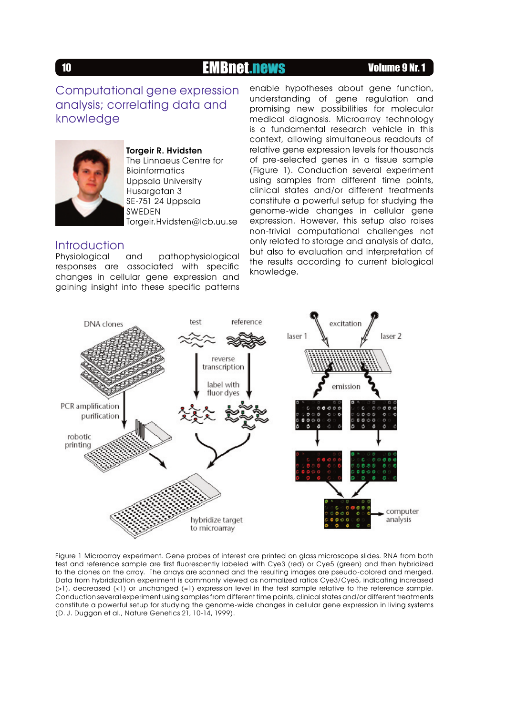## 10 **EMBnet.news Volume 9 Nr. 1** News 11 20 Nr. 1 20 Nr. 1 20 Nr. 1 20 Nr. 1 20 Nr. 1 20 Nr. 1 20 Nr. 1 20 Nr. 1

## Computational gene expression analysis; correlating data and knowledge



Torgeir R. Hvidsten The Linnaeus Centre for Bioinformatics Uppsala University Husargatan 3 SE-751 24 Uppsala SWEDEN Torgeir.Hvidsten@lcb.uu.se

# Introduction

and pathophysiological responses are associated with specific changes in cellular gene expression and gaining insight into these specific patterns enable hypotheses about gene function, understanding of gene regulation and promising new possibilities for molecular medical diagnosis. Microarray technology is a fundamental research vehicle in this context, allowing simultaneous readouts of relative gene expression levels for thousands of pre-selected genes in a tissue sample (Figure 1). Conduction several experiment using samples from different time points, clinical states and/or different treatments constitute a powerful setup for studying the genome-wide changes in cellular gene expression. However, this setup also raises non-trivial computational challenges not only related to storage and analysis of data, but also to evaluation and interpretation of the results according to current biological knowledge.



Figure 1 Microarray experiment. Gene probes of interest are printed on glass microscope slides. RNA from both test and reference sample are first fluorescently labeled with Cye3 (red) or Cye5 (green) and then hybridized to the clones on the array. The arrays are scanned and the resulting images are pseudo-colored and merged. Data from hybridization experiment is commonly viewed as normalized ratios Cye3/Cye5, indicating increased (>1), decreased (<1) or unchanged (=1) expression level in the test sample relative to the reference sample. Conduction several experiment using samples from different time points, clinical states and/or different treatments constitute a powerful setup for studying the genome-wide changes in cellular gene expression in living systems (D. J. Duggan et al., Nature Genetics 21, 10-14, 1999).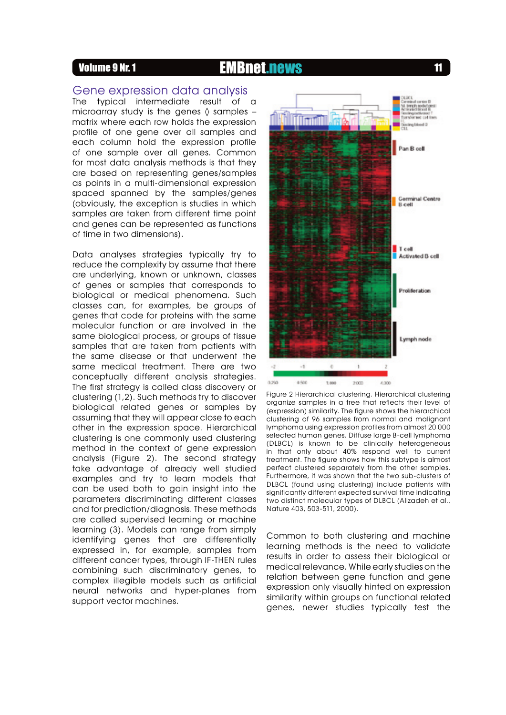## **11** Volume 9 Nr. 1 **EMBnet.news** 11

### Gene expression data analysis

The typical intermediate result of a microarray study is the genes  $\Diamond$  samples – matrix where each row holds the expression profile of one gene over all samples and each column hold the expression profile of one sample over all genes. Common for most data analysis methods is that they are based on representing genes/samples as points in a multi-dimensional expression spaced spanned by the samples/genes (obviously, the exception is studies in which samples are taken from different time point and genes can be represented as functions of time in two dimensions).

Data analyses strategies typically try to reduce the complexity by assume that there are underlying, known or unknown, classes of genes or samples that corresponds to biological or medical phenomena. Such classes can, for examples, be groups of genes that code for proteins with the same molecular function or are involved in the same biological process, or groups of tissue samples that are taken from patients with the same disease or that underwent the same medical treatment. There are two conceptually different analysis strategies. The first strategy is called class discovery or clustering (1,2). Such methods try to discover biological related genes or samples by assuming that they will appear close to each other in the expression space. Hierarchical clustering is one commonly used clustering method in the context of gene expression analysis (Figure 2). The second strategy take advantage of already well studied examples and try to learn models that can be used both to gain insight into the parameters discriminating different classes and for prediction/diagnosis. These methods are called supervised learning or machine learning (3). Models can range from simply identifying genes that are differentially expressed in, for example, samples from different cancer types, through IF-THEN rules combining such discriminatory genes, to complex illegible models such as artificial neural networks and hyper-planes from support vector machines.



Figure 2 Hierarchical clustering. Hierarchical clustering organize samples in a tree that reflects their level of (expression) similarity. The figure shows the hierarchical clustering of 96 samples from normal and malignant lymphoma using expression profiles from almost 20 000 selected human genes. Diffuse large B-cell lymphoma (DLBCL) is known to be clinically heterogeneous in that only about 40% respond well to current treatment. The figure shows how this subtype is almost perfect clustered separately from the other samples. Furthermore, it was shown that the two sub-clusters of DLBCL (found using clustering) include patients with significantly different expected survival time indicating two distinct molecular types of DLBCL (Alizadeh et al., Nature 403, 503-511, 2000).

Common to both clustering and machine learning methods is the need to validate results in order to assess their biological or medical relevance. While early studies on the relation between gene function and gene expression only visually hinted on expression similarity within groups on functional related genes, newer studies typically test the